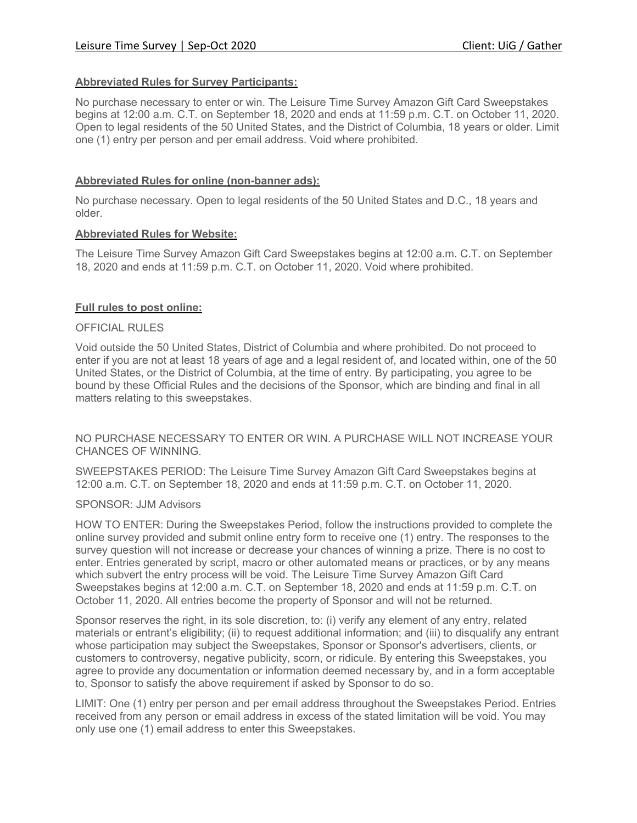# **Abbreviated Rules for Survey Participants:**

No purchase necessary to enter or win. The Leisure Time Survey Amazon Gift Card Sweepstakes begins at 12:00 a.m. C.T. on September 18, 2020 and ends at 11:59 p.m. C.T. on October 11, 2020. Open to legal residents of the 50 United States, and the District of Columbia, 18 years or older. Limit one (1) entry per person and per email address. Void where prohibited.

#### **Abbreviated Rules for online (non-banner ads):**

No purchase necessary. Open to legal residents of the 50 United States and D.C., 18 years and older.

# **Abbreviated Rules for Website:**

The Leisure Time Survey Amazon Gift Card Sweepstakes begins at 12:00 a.m. C.T. on September 18, 2020 and ends at 11:59 p.m. C.T. on October 11, 2020. Void where prohibited.

# **Full rules to post online:**

# OFFICIAL RULES

Void outside the 50 United States, District of Columbia and where prohibited. Do not proceed to enter if you are not at least 18 years of age and a legal resident of, and located within, one of the 50 United States, or the District of Columbia, at the time of entry. By participating, you agree to be bound by these Official Rules and the decisions of the Sponsor, which are binding and final in all matters relating to this sweepstakes.

NO PURCHASE NECESSARY TO ENTER OR WIN. A PURCHASE WILL NOT INCREASE YOUR CHANCES OF WINNING.

SWEEPSTAKES PERIOD: The Leisure Time Survey Amazon Gift Card Sweepstakes begins at 12:00 a.m. C.T. on September 18, 2020 and ends at 11:59 p.m. C.T. on October 11, 2020.

#### SPONSOR: JJM Advisors

HOW TO ENTER: During the Sweepstakes Period, follow the instructions provided to complete the online survey provided and submit online entry form to receive one (1) entry. The responses to the survey question will not increase or decrease your chances of winning a prize. There is no cost to enter. Entries generated by script, macro or other automated means or practices, or by any means which subvert the entry process will be void. The Leisure Time Survey Amazon Gift Card Sweepstakes begins at 12:00 a.m. C.T. on September 18, 2020 and ends at 11:59 p.m. C.T. on October 11, 2020. All entries become the property of Sponsor and will not be returned.

Sponsor reserves the right, in its sole discretion, to: (i) verify any element of any entry, related materials or entrant's eligibility; (ii) to request additional information; and (iii) to disqualify any entrant whose participation may subject the Sweepstakes, Sponsor or Sponsor's advertisers, clients, or customers to controversy, negative publicity, scorn, or ridicule. By entering this Sweepstakes, you agree to provide any documentation or information deemed necessary by, and in a form acceptable to, Sponsor to satisfy the above requirement if asked by Sponsor to do so.

LIMIT: One (1) entry per person and per email address throughout the Sweepstakes Period. Entries received from any person or email address in excess of the stated limitation will be void. You may only use one (1) email address to enter this Sweepstakes.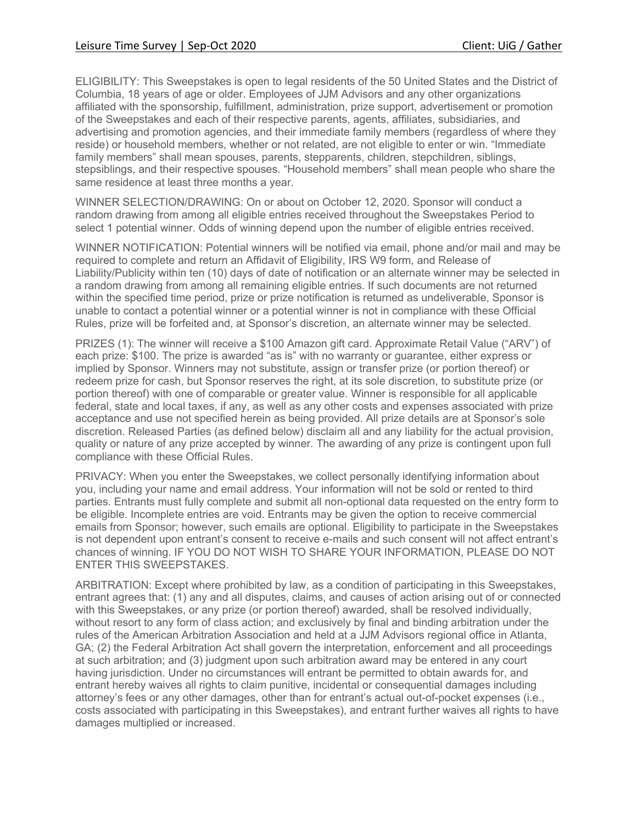ELIGIBILITY: This Sweepstakes is open to legal residents of the 50 United States and the District of Columbia, 18 years of age or older. Employees of JJM Advisors and any other organizations affiliated with the sponsorship, fulfillment, administration, prize support, advertisement or promotion of the Sweepstakes and each of their respective parents, agents, affiliates, subsidiaries, and advertising and promotion agencies, and their immediate family members (regardless of where they reside) or household members, whether or not related, are not eligible to enter or win. "Immediate family members" shall mean spouses, parents, stepparents, children, stepchildren, siblings, stepsiblings, and their respective spouses. "Household members" shall mean people who share the same residence at least three months a year.

WINNER SELECTION/DRAWING: On or about on October 12, 2020. Sponsor will conduct a random drawing from among all eligible entries received throughout the Sweepstakes Period to select 1 potential winner. Odds of winning depend upon the number of eligible entries received.

WINNER NOTIFICATION: Potential winners will be notified via email, phone and/or mail and may be required to complete and return an Affidavit of Eligibility, IRS W9 form, and Release of Liability/Publicity within ten (10) days of date of notification or an alternate winner may be selected in a random drawing from among all remaining eligible entries. If such documents are not returned within the specified time period, prize or prize notification is returned as undeliverable, Sponsor is unable to contact a potential winner or a potential winner is not in compliance with these Official Rules, prize will be forfeited and, at Sponsor's discretion, an alternate winner may be selected.

PRIZES (1): The winner will receive a \$100 Amazon gift card. Approximate Retail Value ("ARV") of each prize: \$100. The prize is awarded "as is" with no warranty or guarantee, either express or implied by Sponsor. Winners may not substitute, assign or transfer prize (or portion thereof) or redeem prize for cash, but Sponsor reserves the right, at its sole discretion, to substitute prize (or portion thereof) with one of comparable or greater value. Winner is responsible for all applicable federal, state and local taxes, if any, as well as any other costs and expenses associated with prize acceptance and use not specified herein as being provided. All prize details are at Sponsor's sole discretion. Released Parties (as defined below) disclaim all and any liability for the actual provision, quality or nature of any prize accepted by winner. The awarding of any prize is contingent upon full compliance with these Official Rules.

PRIVACY: When you enter the Sweepstakes, we collect personally identifying information about you, including your name and email address. Your information will not be sold or rented to third parties. Entrants must fully complete and submit all non-optional data requested on the entry form to be eligible. Incomplete entries are void. Entrants may be given the option to receive commercial emails from Sponsor; however, such emails are optional. Eligibility to participate in the Sweepstakes is not dependent upon entrant's consent to receive e-mails and such consent will not affect entrant's chances of winning. IF YOU DO NOT WISH TO SHARE YOUR INFORMATION, PLEASE DO NOT ENTER THIS SWEEPSTAKES.

ARBITRATION: Except where prohibited by law, as a condition of participating in this Sweepstakes, entrant agrees that: (1) any and all disputes, claims, and causes of action arising out of or connected with this Sweepstakes, or any prize (or portion thereof) awarded, shall be resolved individually, without resort to any form of class action; and exclusively by final and binding arbitration under the rules of the American Arbitration Association and held at a JJM Advisors regional office in Atlanta, GA; (2) the Federal Arbitration Act shall govern the interpretation, enforcement and all proceedings at such arbitration; and (3) judgment upon such arbitration award may be entered in any court having jurisdiction. Under no circumstances will entrant be permitted to obtain awards for, and entrant hereby waives all rights to claim punitive, incidental or consequential damages including attorney's fees or any other damages, other than for entrant's actual out-of-pocket expenses (i.e., costs associated with participating in this Sweepstakes), and entrant further waives all rights to have damages multiplied or increased.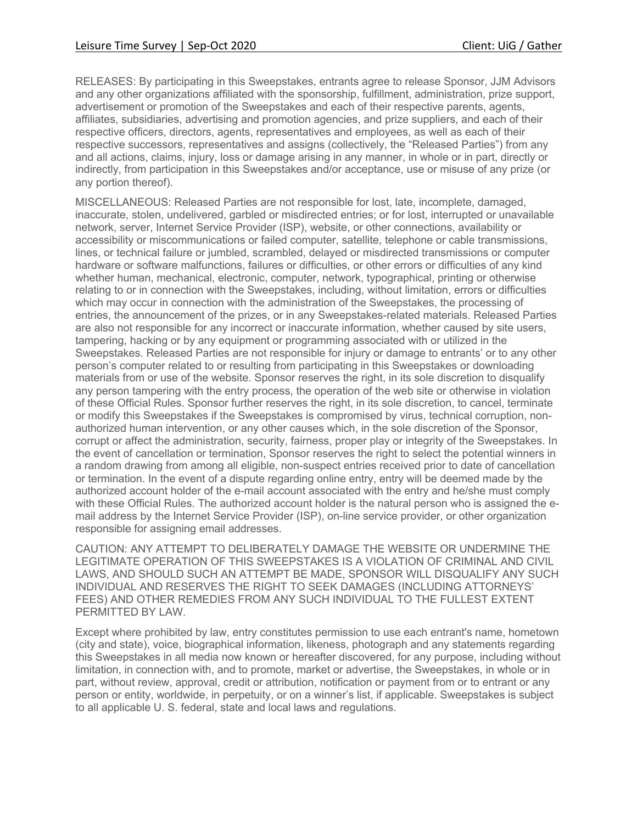RELEASES: By participating in this Sweepstakes, entrants agree to release Sponsor, JJM Advisors and any other organizations affiliated with the sponsorship, fulfillment, administration, prize support, advertisement or promotion of the Sweepstakes and each of their respective parents, agents, affiliates, subsidiaries, advertising and promotion agencies, and prize suppliers, and each of their respective officers, directors, agents, representatives and employees, as well as each of their respective successors, representatives and assigns (collectively, the "Released Parties") from any and all actions, claims, injury, loss or damage arising in any manner, in whole or in part, directly or indirectly, from participation in this Sweepstakes and/or acceptance, use or misuse of any prize (or any portion thereof).

MISCELLANEOUS: Released Parties are not responsible for lost, late, incomplete, damaged, inaccurate, stolen, undelivered, garbled or misdirected entries; or for lost, interrupted or unavailable network, server, Internet Service Provider (ISP), website, or other connections, availability or accessibility or miscommunications or failed computer, satellite, telephone or cable transmissions, lines, or technical failure or jumbled, scrambled, delayed or misdirected transmissions or computer hardware or software malfunctions, failures or difficulties, or other errors or difficulties of any kind whether human, mechanical, electronic, computer, network, typographical, printing or otherwise relating to or in connection with the Sweepstakes, including, without limitation, errors or difficulties which may occur in connection with the administration of the Sweepstakes, the processing of entries, the announcement of the prizes, or in any Sweepstakes-related materials. Released Parties are also not responsible for any incorrect or inaccurate information, whether caused by site users, tampering, hacking or by any equipment or programming associated with or utilized in the Sweepstakes. Released Parties are not responsible for injury or damage to entrants' or to any other person's computer related to or resulting from participating in this Sweepstakes or downloading materials from or use of the website. Sponsor reserves the right, in its sole discretion to disqualify any person tampering with the entry process, the operation of the web site or otherwise in violation of these Official Rules. Sponsor further reserves the right, in its sole discretion, to cancel, terminate or modify this Sweepstakes if the Sweepstakes is compromised by virus, technical corruption, nonauthorized human intervention, or any other causes which, in the sole discretion of the Sponsor, corrupt or affect the administration, security, fairness, proper play or integrity of the Sweepstakes. In the event of cancellation or termination, Sponsor reserves the right to select the potential winners in a random drawing from among all eligible, non-suspect entries received prior to date of cancellation or termination. In the event of a dispute regarding online entry, entry will be deemed made by the authorized account holder of the e-mail account associated with the entry and he/she must comply with these Official Rules. The authorized account holder is the natural person who is assigned the email address by the Internet Service Provider (ISP), on-line service provider, or other organization responsible for assigning email addresses.

CAUTION: ANY ATTEMPT TO DELIBERATELY DAMAGE THE WEBSITE OR UNDERMINE THE LEGITIMATE OPERATION OF THIS SWEEPSTAKES IS A VIOLATION OF CRIMINAL AND CIVIL LAWS, AND SHOULD SUCH AN ATTEMPT BE MADE, SPONSOR WILL DISQUALIFY ANY SUCH INDIVIDUAL AND RESERVES THE RIGHT TO SEEK DAMAGES (INCLUDING ATTORNEYS' FEES) AND OTHER REMEDIES FROM ANY SUCH INDIVIDUAL TO THE FULLEST EXTENT PERMITTED BY LAW.

Except where prohibited by law, entry constitutes permission to use each entrant's name, hometown (city and state), voice, biographical information, likeness, photograph and any statements regarding this Sweepstakes in all media now known or hereafter discovered, for any purpose, including without limitation, in connection with, and to promote, market or advertise, the Sweepstakes, in whole or in part, without review, approval, credit or attribution, notification or payment from or to entrant or any person or entity, worldwide, in perpetuity, or on a winner's list, if applicable. Sweepstakes is subject to all applicable U. S. federal, state and local laws and regulations.